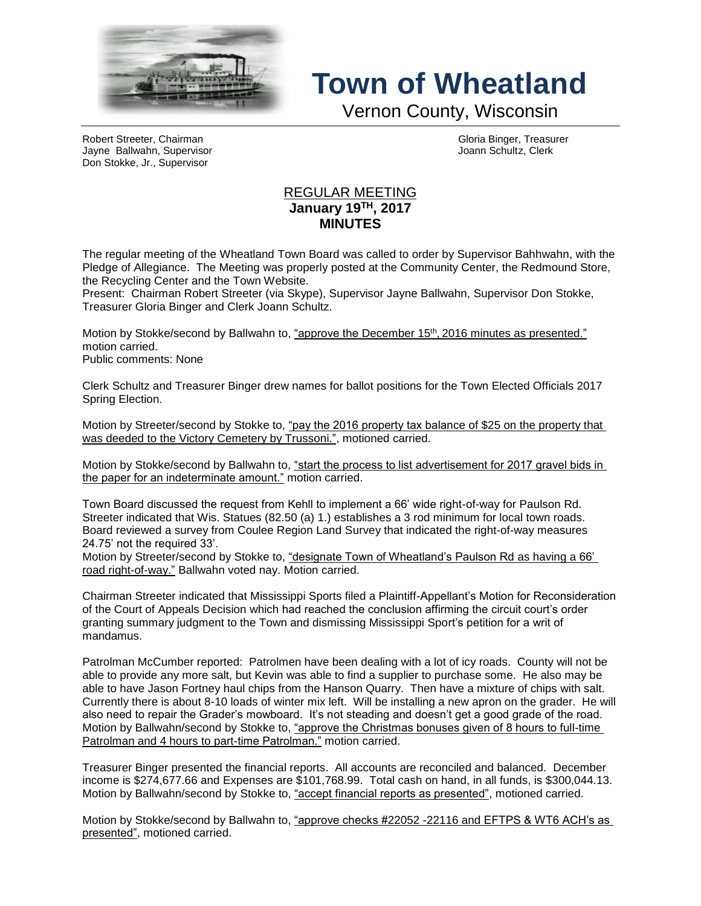

## **Town of Wheatland**

Vernon County, Wisconsin

Robert Streeter, Chairman Gloria Binger, Treasurer Jayne Ballwahn, Supervisor Joann Schultz, Clerk Don Stokke, Jr., Supervisor

## REGULAR MEETING **January 19TH, 2017 MINUTES**

The regular meeting of the Wheatland Town Board was called to order by Supervisor Bahhwahn, with the Pledge of Allegiance. The Meeting was properly posted at the Community Center, the Redmound Store, the Recycling Center and the Town Website.

Present: Chairman Robert Streeter (via Skype), Supervisor Jayne Ballwahn, Supervisor Don Stokke, Treasurer Gloria Binger and Clerk Joann Schultz.

Motion by Stokke/second by Ballwahn to, <u>"approve the December 15<sup>th</sup>, 2016 minutes as presented."</u> motion carried.

Public comments: None

Clerk Schultz and Treasurer Binger drew names for ballot positions for the Town Elected Officials 2017 Spring Election.

Motion by Streeter/second by Stokke to, "pay the 2016 property tax balance of \$25 on the property that was deeded to the Victory Cemetery by Trussoni.", motioned carried.

Motion by Stokke/second by Ballwahn to, "start the process to list advertisement for 2017 gravel bids in the paper for an indeterminate amount." motion carried.

Town Board discussed the request from Kehll to implement a 66' wide right-of-way for Paulson Rd. Streeter indicated that Wis. Statues (82.50 (a) 1.) establishes a 3 rod minimum for local town roads. Board reviewed a survey from Coulee Region Land Survey that indicated the right-of-way measures 24.75' not the required 33'.

Motion by Streeter/second by Stokke to, "designate Town of Wheatland's Paulson Rd as having a 66' road right-of-way." Ballwahn voted nay. Motion carried.

Chairman Streeter indicated that Mississippi Sports filed a Plaintiff-Appellant's Motion for Reconsideration of the Court of Appeals Decision which had reached the conclusion affirming the circuit court's order granting summary judgment to the Town and dismissing Mississippi Sport's petition for a writ of mandamus.

Patrolman McCumber reported: Patrolmen have been dealing with a lot of icy roads. County will not be able to provide any more salt, but Kevin was able to find a supplier to purchase some. He also may be able to have Jason Fortney haul chips from the Hanson Quarry. Then have a mixture of chips with salt. Currently there is about 8-10 loads of winter mix left. Will be installing a new apron on the grader. He will also need to repair the Grader's mowboard. It's not steading and doesn't get a good grade of the road. Motion by Ballwahn/second by Stokke to, "approve the Christmas bonuses given of 8 hours to full-time Patrolman and 4 hours to part-time Patrolman." motion carried.

Treasurer Binger presented the financial reports. All accounts are reconciled and balanced. December income is \$274,677.66 and Expenses are \$101,768.99. Total cash on hand, in all funds, is \$300,044.13. Motion by Ballwahn/second by Stokke to, "accept financial reports as presented", motioned carried.

Motion by Stokke/second by Ballwahn to, "approve checks #22052 -22116 and EFTPS & WT6 ACH's as presented", motioned carried.